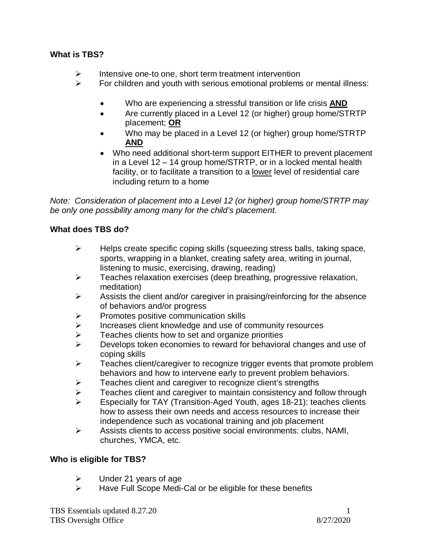## **What is TBS?**

- $\triangleright$  Intensive one-to one, short term treatment intervention
- $\triangleright$  For children and youth with serious emotional problems or mental illness:
	- Who are experiencing a stressful transition or life crisis **AND**
	- Are currently placed in a Level 12 (or higher) group home/STRTP placement; **OR**
	- Who may be placed in a Level 12 (or higher) group home/STRTP **AND**
	- Who need additional short-term support EITHER to prevent placement in a Level 12 – 14 group home/STRTP, or in a locked mental health facility, or to facilitate a transition to a lower level of residential care including return to a home

*Note: Consideration of placement into a Level 12 (or higher) group home/STRTP may be only one possibility among many for the child's placement.*

### **What does TBS do?**

- $\triangleright$  Helps create specific coping skills (squeezing stress balls, taking space, sports, wrapping in a blanket, creating safety area, writing in journal, listening to music, exercising, drawing, reading)
- $\triangleright$  Teaches relaxation exercises (deep breathing, progressive relaxation, meditation)
- $\triangleright$  Assists the client and/or caregiver in praising/reinforcing for the absence of behaviors and/or progress
- $\triangleright$  Promotes positive communication skills
- $\triangleright$  Increases client knowledge and use of community resources
- $\geq$  Teaches clients how to set and organize priorities<br> $\geq$  Develops token economies to reward for behavior.
- Develops token economies to reward for behavioral changes and use of coping skills
- $\triangleright$  Teaches client/caregiver to recognize trigger events that promote problem behaviors and how to intervene early to prevent problem behaviors.
- Teaches client and caregiver to recognize client's strengths
- Feaches client and caregiver to maintain consistency and follow through<br>
Fenecially for TAY (Transition-Aged Youth ages 18-21): teaches clients
- Especially for TAY (Transition-Aged Youth, ages 18-21): teaches clients how to assess their own needs and access resources to increase their independence such as vocational training and job placement
- $\triangleright$  Assists clients to access positive social environments: clubs, NAMI, churches, YMCA, etc.

#### **Who is eligible for TBS?**

- $\triangleright$  Under 21 years of age
- $\triangleright$  Have Full Scope Medi-Cal or be eligible for these benefits